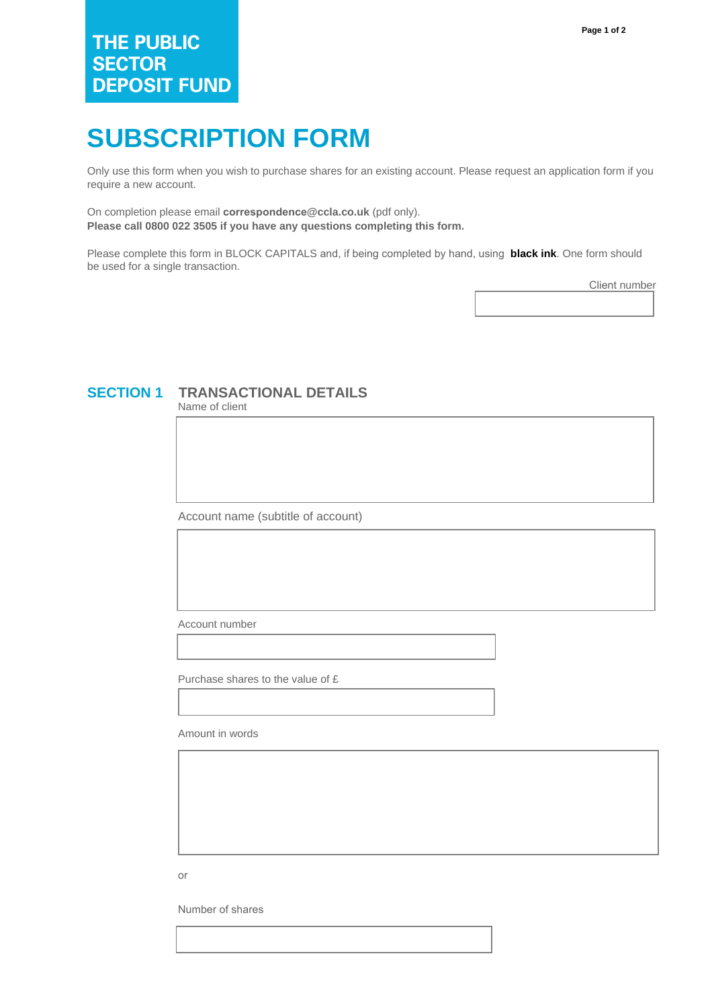# **SUBSCRIPTION FORM**

Only use this form when you wish to purchase shares for an existing account. Please request an application form if you require a new account.

On completion please email **correspondence@ccla.co.uk** (pdf only). **Please call 0800 022 3505 if you have any questions completing this form.**

Please complete this form in BLOCK CAPITALS and, if being completed by hand, using **black ink**. One form should be used for a single transaction.

Client number

## **SECTION 1 TRANSACTIONAL DETAILS**

Name of client

Account name (subtitle of account)

Account number

Purchase shares to the value of £

Amount in words

or

Number of shares